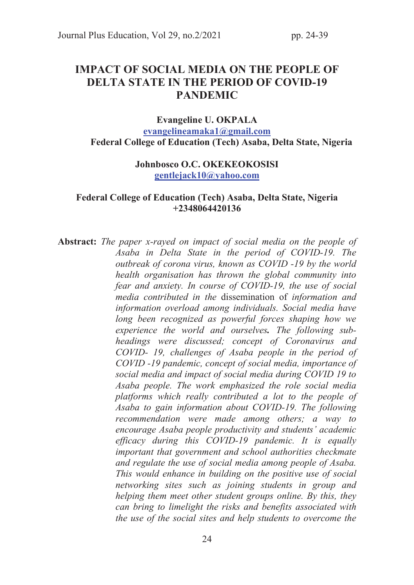# IMPACT OF SOCIAL MEDIA ON THE PEOPLE OF DELTA STATE IN THE PERIOD OF COVID-19 PANDEMIC

### Evangeline U. OKPALA evangelineamaka1@gmail.com Federal College of Education (Tech) Asaba, Delta State, Nigeria

## Johnbosco O.C. OKEKEOKOSISI gentlejack10@yahoo.com

#### Federal College of Education (Tech) Asaba, Delta State, Nigeria +2348064420136

Abstract: *The paper x-rayed on impact of social media on the people of Asaba in Delta State in the period of COVID-19. The outbreak of corona virus, known as COVID -19 by the world health organisation has thrown the global community into fear and anxiety. In course of COVID-19, the use of social media contributed in the* dissemination of *information and information overload among individuals. Social media have long been recognized as powerful forces shaping how we experience the world and ourselves*. *The following subheadings were discussed; concept of Coronavirus and COVID- 19, challenges of Asaba people in the period of COVID -19 pandemic, concept of social media, importance of social media and impact of social media during COVID 19 to Asaba people. The work emphasized the role social media platforms which really contributed a lot to the people of Asaba to gain information about COVID-19. The following recommendation were made among others; a way to encourage Asaba people productivity and students' academic efficacy during this COVID-19 pandemic. It is equally important that government and school authorities checkmate and regulate the use of social media among people of Asaba. This would enhance in building on the positive use of social networking sites such as joining students in group and helping them meet other student groups online. By this, they can bring to limelight the risks and benefits associated with the use of the social sites and help students to overcome the*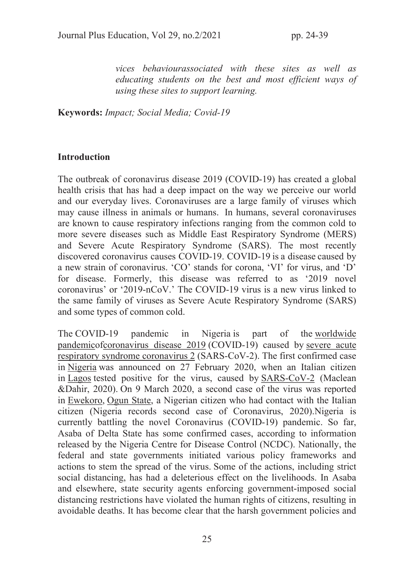*vices behaviourassociated with these sites as well as educating students on the best and most efficient ways of using these sites to support learning.* 

Keywords: *Impact; Social Media; Covid-19* 

#### **Introduction**

The outbreak of coronavirus disease 2019 (COVID-19) has created a global health crisis that has had a deep impact on the way we perceive our world and our everyday lives. Coronaviruses are a large family of viruses which may cause illness in animals or humans. In humans, several coronaviruses are known to cause respiratory infections ranging from the common cold to more severe diseases such as Middle East Respiratory Syndrome (MERS) and Severe Acute Respiratory Syndrome (SARS). The most recently discovered coronavirus causes COVID-19. COVID-19 is a disease caused by a new strain of coronavirus. 'CO' stands for corona, 'VI' for virus, and 'D' for disease. Formerly, this disease was referred to as '2019 novel coronavirus' or '2019-nCoV.' The COVID-19 virus is a new virus linked to the same family of viruses as Severe Acute Respiratory Syndrome (SARS) and some types of common cold.

The COVID-19 pandemic in Nigeria is part of the worldwide pandemicofcoronavirus disease 2019 (COVID-19) caused by severe acute respiratory syndrome coronavirus 2 (SARS-CoV-2). The first confirmed case in Nigeria was announced on 27 February 2020, when an Italian citizen in Lagos tested positive for the virus, caused by SARS-CoV-2 (Maclean &Dahir, 2020). On 9 March 2020, a second case of the virus was reported in Ewekoro, Ogun State, a Nigerian citizen who had contact with the Italian citizen (Nigeria records second case of Coronavirus, 2020).Nigeria is currently battling the novel Coronavirus (COVID-19) pandemic. So far, Asaba of Delta State has some confirmed cases, according to information released by the Nigeria Centre for Disease Control (NCDC). Nationally, the federal and state governments initiated various policy frameworks and actions to stem the spread of the virus. Some of the actions, including strict social distancing, has had a deleterious effect on the livelihoods. In Asaba and elsewhere, state security agents enforcing government-imposed social distancing restrictions have violated the human rights of citizens, resulting in avoidable deaths. It has become clear that the harsh government policies and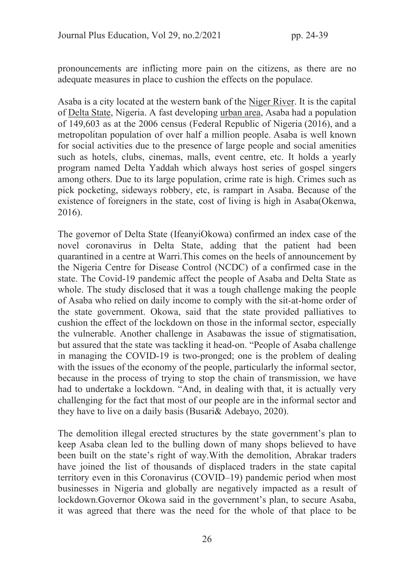pronouncements are inflicting more pain on the citizens, as there are no adequate measures in place to cushion the effects on the populace.

Asaba is a city located at the western bank of the Niger River. It is the capital of Delta State, Nigeria. A fast developing urban area, Asaba had a population of 149,603 as at the 2006 census (Federal Republic of Nigeria (2016), and a metropolitan population of over half a million people. Asaba is well known for social activities due to the presence of large people and social amenities such as hotels, clubs, cinemas, malls, event centre, etc. It holds a yearly program named Delta Yaddah which always host series of gospel singers among others. Due to its large population, crime rate is high. Crimes such as pick pocketing, sideways robbery, etc, is rampart in Asaba. Because of the existence of foreigners in the state, cost of living is high in Asaba(Okenwa, 2016).

The governor of Delta State (IfeanyiOkowa) confirmed an index case of the novel coronavirus in Delta State, adding that the patient had been quarantined in a centre at Warri.This comes on the heels of announcement by the Nigeria Centre for Disease Control (NCDC) of a confirmed case in the state. The Covid-19 pandemic affect the people of Asaba and Delta State as whole. The study disclosed that it was a tough challenge making the people of Asaba who relied on daily income to comply with the sit-at-home order of the state government. Okowa, said that the state provided palliatives to cushion the effect of the lockdown on those in the informal sector, especially the vulnerable. Another challenge in Asabawas the issue of stigmatisation, but assured that the state was tackling it head-on. "People of Asaba challenge in managing the COVID-19 is two-pronged; one is the problem of dealing with the issues of the economy of the people, particularly the informal sector, because in the process of trying to stop the chain of transmission, we have had to undertake a lockdown. "And, in dealing with that, it is actually very challenging for the fact that most of our people are in the informal sector and they have to live on a daily basis (Busari& Adebayo, 2020).

The demolition illegal erected structures by the state government's plan to keep Asaba clean led to the bulling down of many shops believed to have been built on the state's right of way.With the demolition, Abrakar traders have joined the list of thousands of displaced traders in the state capital territory even in this Coronavirus (COVID–19) pandemic period when most businesses in Nigeria and globally are negatively impacted as a result of lockdown.Governor Okowa said in the government's plan, to secure Asaba, it was agreed that there was the need for the whole of that place to be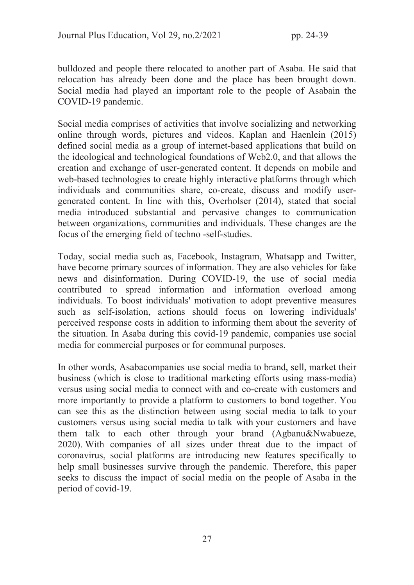bulldozed and people there relocated to another part of Asaba. He said that relocation has already been done and the place has been brought down. Social media had played an important role to the people of Asabain the COVID-19 pandemic.

Social media comprises of activities that involve socializing and networking online through words, pictures and videos. Kaplan and Haenlein (2015) defined social media as a group of internet-based applications that build on the ideological and technological foundations of Web2.0, and that allows the creation and exchange of user-generated content. It depends on mobile and web-based technologies to create highly interactive platforms through which individuals and communities share, co-create, discuss and modify usergenerated content. In line with this, Overholser (2014), stated that social media introduced substantial and pervasive changes to communication between organizations, communities and individuals. These changes are the focus of the emerging field of techno -self-studies.

Today, social media such as, Facebook, Instagram, Whatsapp and Twitter, have become primary sources of information. They are also vehicles for fake news and disinformation. During COVID-19, the use of social media contributed to spread information and information overload among individuals. To boost individuals' motivation to adopt preventive measures such as self-isolation, actions should focus on lowering individuals' perceived response costs in addition to informing them about the severity of the situation. In Asaba during this covid-19 pandemic, companies use social media for commercial purposes or for communal purposes.

In other words, Asabacompanies use social media to brand, sell, market their business (which is close to traditional marketing efforts using mass-media) versus using social media to connect with and co-create with customers and more importantly to provide a platform to customers to bond together. You can see this as the distinction between using social media to talk to your customers versus using social media to talk with your customers and have them talk to each other through your brand (Agbanu&Nwabueze, 2020). With companies of all sizes under threat due to the impact of coronavirus, social platforms are introducing new features specifically to help small businesses survive through the pandemic. Therefore, this paper seeks to discuss the impact of social media on the people of Asaba in the period of covid-19.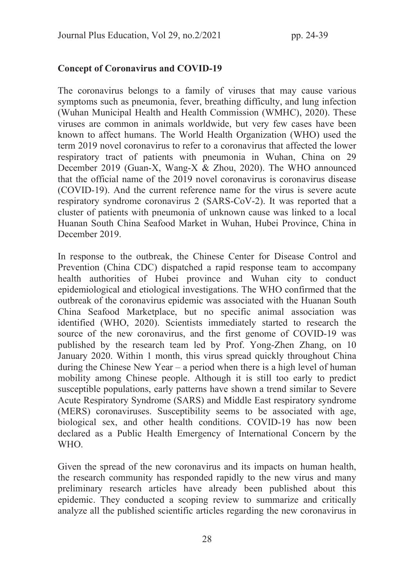#### Concept of Coronavirus and COVID-19

The coronavirus belongs to a family of viruses that may cause various symptoms such as pneumonia, fever, breathing difficulty, and lung infection (Wuhan Municipal Health and Health Commission (WMHC), 2020). These viruses are common in animals worldwide, but very few cases have been known to affect humans. The World Health Organization (WHO) used the term 2019 novel coronavirus to refer to a coronavirus that affected the lower respiratory tract of patients with pneumonia in Wuhan, China on 29 December 2019 (Guan-X, Wang-X & Zhou, 2020). The WHO announced that the official name of the 2019 novel coronavirus is coronavirus disease (COVID-19). And the current reference name for the virus is severe acute respiratory syndrome coronavirus 2 (SARS-CoV-2). It was reported that a cluster of patients with pneumonia of unknown cause was linked to a local Huanan South China Seafood Market in Wuhan, Hubei Province, China in December 2019.

In response to the outbreak, the Chinese Center for Disease Control and Prevention (China CDC) dispatched a rapid response team to accompany health authorities of Hubei province and Wuhan city to conduct epidemiological and etiological investigations. The WHO confirmed that the outbreak of the coronavirus epidemic was associated with the Huanan South China Seafood Marketplace, but no specific animal association was identified (WHO, 2020). Scientists immediately started to research the source of the new coronavirus, and the first genome of COVID-19 was published by the research team led by Prof. Yong-Zhen Zhang, on 10 January 2020. Within 1 month, this virus spread quickly throughout China during the Chinese New Year – a period when there is a high level of human mobility among Chinese people. Although it is still too early to predict susceptible populations, early patterns have shown a trend similar to Severe Acute Respiratory Syndrome (SARS) and Middle East respiratory syndrome (MERS) coronaviruses. Susceptibility seems to be associated with age, biological sex, and other health conditions. COVID-19 has now been declared as a Public Health Emergency of International Concern by the WHO.

Given the spread of the new coronavirus and its impacts on human health, the research community has responded rapidly to the new virus and many preliminary research articles have already been published about this epidemic. They conducted a scoping review to summarize and critically analyze all the published scientific articles regarding the new coronavirus in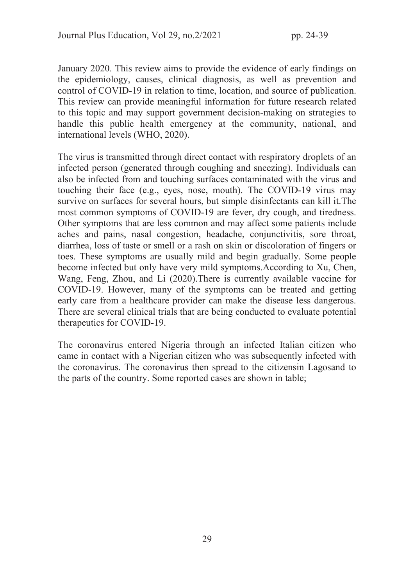January 2020. This review aims to provide the evidence of early findings on the epidemiology, causes, clinical diagnosis, as well as prevention and control of COVID-19 in relation to time, location, and source of publication. This review can provide meaningful information for future research related to this topic and may support government decision-making on strategies to handle this public health emergency at the community, national, and international levels (WHO, 2020).

The virus is transmitted through direct contact with respiratory droplets of an infected person (generated through coughing and sneezing). Individuals can also be infected from and touching surfaces contaminated with the virus and touching their face (e.g., eyes, nose, mouth). The COVID-19 virus may survive on surfaces for several hours, but simple disinfectants can kill it.The most common symptoms of COVID-19 are fever, dry cough, and tiredness. Other symptoms that are less common and may affect some patients include aches and pains, nasal congestion, headache, conjunctivitis, sore throat, diarrhea, loss of taste or smell or a rash on skin or discoloration of fingers or toes. These symptoms are usually mild and begin gradually. Some people become infected but only have very mild symptoms.According to Xu, Chen, Wang, Feng, Zhou, and Li (2020).There is currently available vaccine for COVID-19. However, many of the symptoms can be treated and getting early care from a healthcare provider can make the disease less dangerous. There are several clinical trials that are being conducted to evaluate potential therapeutics for COVID-19.

The coronavirus entered Nigeria through an infected Italian citizen who came in contact with a Nigerian citizen who was subsequently infected with the coronavirus. The coronavirus then spread to the citizensin Lagosand to the parts of the country. Some reported cases are shown in table;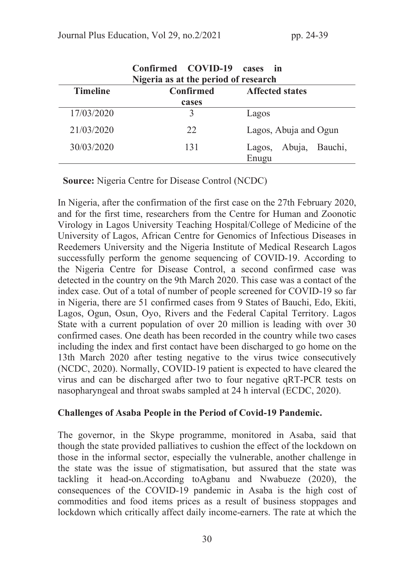| Confirmed COVID-19<br>cases<br>$\mathbf{in}$<br>Nigeria as at the period of research |                  |                                   |
|--------------------------------------------------------------------------------------|------------------|-----------------------------------|
| <b>Timeline</b>                                                                      | <b>Confirmed</b> | <b>Affected states</b>            |
|                                                                                      | cases            |                                   |
| 17/03/2020                                                                           | 3                | Lagos                             |
| 21/03/2020                                                                           | 22               | Lagos, Abuja and Ogun             |
| 30/03/2020                                                                           | 131              | Abuja, Bauchi,<br>Lagos,<br>Enugu |

Source: Nigeria Centre for Disease Control (NCDC)

In Nigeria, after the confirmation of the first case on the 27th February 2020, and for the first time, researchers from the Centre for Human and Zoonotic Virology in Lagos University Teaching Hospital/College of Medicine of the University of Lagos, African Centre for Genomics of Infectious Diseases in Reedemers University and the Nigeria Institute of Medical Research Lagos successfully perform the genome sequencing of COVID-19. According to the Nigeria Centre for Disease Control, a second confirmed case was detected in the country on the 9th March 2020. This case was a contact of the index case. Out of a total of number of people screened for COVID-19 so far in Nigeria, there are 51 confirmed cases from 9 States of Bauchi, Edo, Ekiti, Lagos, Ogun, Osun, Oyo, Rivers and the Federal Capital Territory. Lagos State with a current population of over 20 million is leading with over 30 confirmed cases. One death has been recorded in the country while two cases including the index and first contact have been discharged to go home on the 13th March 2020 after testing negative to the virus twice consecutively (NCDC, 2020). Normally, COVID-19 patient is expected to have cleared the virus and can be discharged after two to four negative qRT-PCR tests on nasopharyngeal and throat swabs sampled at 24 h interval (ECDC, 2020).

#### Challenges of Asaba People in the Period of Covid-19 Pandemic.

The governor, in the Skype programme, monitored in Asaba, said that though the state provided palliatives to cushion the effect of the lockdown on those in the informal sector, especially the vulnerable, another challenge in the state was the issue of stigmatisation, but assured that the state was tackling it head-on.According toAgbanu and Nwabueze (2020), the consequences of the COVID-19 pandemic in Asaba is the high cost of commodities and food items prices as a result of business stoppages and lockdown which critically affect daily income-earners. The rate at which the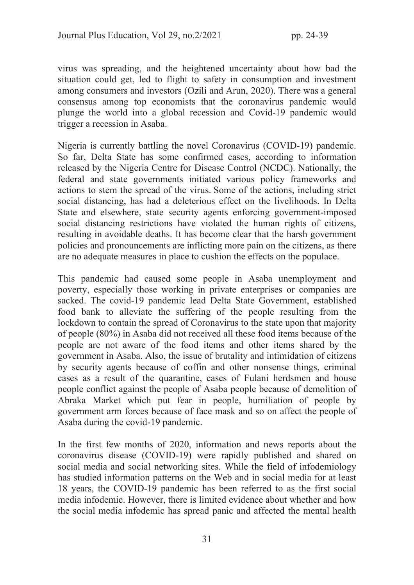virus was spreading, and the heightened uncertainty about how bad the situation could get, led to flight to safety in consumption and investment among consumers and investors (Ozili and Arun, 2020). There was a general consensus among top economists that the coronavirus pandemic would plunge the world into a global recession and Covid-19 pandemic would trigger a recession in Asaba.

Nigeria is currently battling the novel Coronavirus (COVID-19) pandemic. So far, Delta State has some confirmed cases, according to information released by the Nigeria Centre for Disease Control (NCDC). Nationally, the federal and state governments initiated various policy frameworks and actions to stem the spread of the virus. Some of the actions, including strict social distancing, has had a deleterious effect on the livelihoods. In Delta State and elsewhere, state security agents enforcing government-imposed social distancing restrictions have violated the human rights of citizens, resulting in avoidable deaths. It has become clear that the harsh government policies and pronouncements are inflicting more pain on the citizens, as there are no adequate measures in place to cushion the effects on the populace.

This pandemic had caused some people in Asaba unemployment and poverty, especially those working in private enterprises or companies are sacked. The covid-19 pandemic lead Delta State Government, established food bank to alleviate the suffering of the people resulting from the lockdown to contain the spread of Coronavirus to the state upon that majority of people (80%) in Asaba did not received all these food items because of the people are not aware of the food items and other items shared by the government in Asaba. Also, the issue of brutality and intimidation of citizens by security agents because of coffin and other nonsense things, criminal cases as a result of the quarantine, cases of Fulani herdsmen and house people conflict against the people of Asaba people because of demolition of Abraka Market which put fear in people, humiliation of people by government arm forces because of face mask and so on affect the people of Asaba during the covid-19 pandemic.

In the first few months of 2020, information and news reports about the coronavirus disease (COVID-19) were rapidly published and shared on social media and social networking sites. While the field of infodemiology has studied information patterns on the Web and in social media for at least 18 years, the COVID-19 pandemic has been referred to as the first social media infodemic. However, there is limited evidence about whether and how the social media infodemic has spread panic and affected the mental health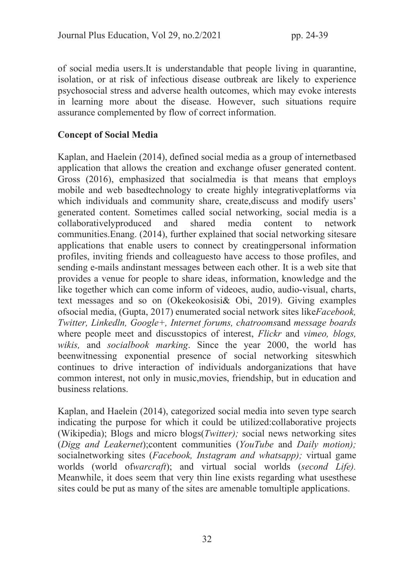of social media users.It is understandable that people living in quarantine, isolation, or at risk of infectious disease outbreak are likely to experience psychosocial stress and adverse health outcomes, which may evoke interests in learning more about the disease. However, such situations require assurance complemented by flow of correct information.

## Concept of Social Media

Kaplan, and Haelein (2014), defined social media as a group of internetbased application that allows the creation and exchange ofuser generated content. Gross (2016), emphasized that socialmedia is that means that employs mobile and web basedtechnology to create highly integrativeplatforms via which individuals and community share, create,discuss and modify users' generated content. Sometimes called social networking, social media is a collaborativelyproduced and shared media content to network communities.Enang. (2014), further explained that social networking sitesare applications that enable users to connect by creatingpersonal information profiles, inviting friends and colleaguesto have access to those profiles, and sending e-mails andinstant messages between each other. It is a web site that provides a venue for people to share ideas, information, knowledge and the like together which can come inform of videoes, audio, audio-visual, charts, text messages and so on (Okekeokosisi& Obi, 2019). Giving examples ofsocial media, (Gupta, 2017) enumerated social network sites like*Facebook, Twitter, Linkedln, Google+, Internet forums, chatrooms*and *message boards*  where people meet and discusstopics of interest, *Flickr* and *vimeo, blogs, wikis,* and *socialbook marking*. Since the year 2000, the world has beenwitnessing exponential presence of social networking siteswhich continues to drive interaction of individuals andorganizations that have common interest, not only in music,movies, friendship, but in education and business relations.

Kaplan, and Haelein (2014), categorized social media into seven type search indicating the purpose for which it could be utilized:collaborative projects (Wikipedia); Blogs and micro blogs(*Twitter);* social news networking sites (*Digg and Leakernet*);content communities (*YouTube* and *Daily motion);* socialnetworking sites (*Facebook, Instagram and whatsapp);* virtual game worlds (world of*warcraft*); and virtual social worlds (*second Life).* Meanwhile, it does seem that very thin line exists regarding what usesthese sites could be put as many of the sites are amenable tomultiple applications.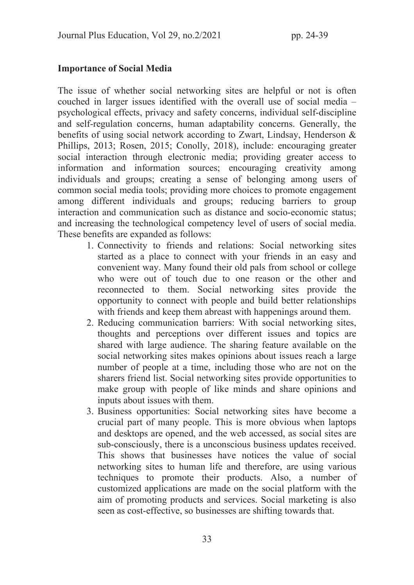### Importance of Social Media

The issue of whether social networking sites are helpful or not is often couched in larger issues identified with the overall use of social media – psychological effects, privacy and safety concerns, individual self-discipline and self-regulation concerns, human adaptability concerns. Generally, the benefits of using social network according to Zwart, Lindsay, Henderson & Phillips, 2013; Rosen, 2015; Conolly, 2018), include: encouraging greater social interaction through electronic media; providing greater access to information and information sources; encouraging creativity among individuals and groups; creating a sense of belonging among users of common social media tools; providing more choices to promote engagement among different individuals and groups; reducing barriers to group interaction and communication such as distance and socio-economic status; and increasing the technological competency level of users of social media. These benefits are expanded as follows:

- 1. Connectivity to friends and relations: Social networking sites started as a place to connect with your friends in an easy and convenient way. Many found their old pals from school or college who were out of touch due to one reason or the other and reconnected to them. Social networking sites provide the opportunity to connect with people and build better relationships with friends and keep them abreast with happenings around them.
- 2. Reducing communication barriers: With social networking sites, thoughts and perceptions over different issues and topics are shared with large audience. The sharing feature available on the social networking sites makes opinions about issues reach a large number of people at a time, including those who are not on the sharers friend list. Social networking sites provide opportunities to make group with people of like minds and share opinions and inputs about issues with them.
- 3. Business opportunities: Social networking sites have become a crucial part of many people. This is more obvious when laptops and desktops are opened, and the web accessed, as social sites are sub-consciously, there is a unconscious business updates received. This shows that businesses have notices the value of social networking sites to human life and therefore, are using various techniques to promote their products. Also, a number of customized applications are made on the social platform with the aim of promoting products and services. Social marketing is also seen as cost-effective, so businesses are shifting towards that.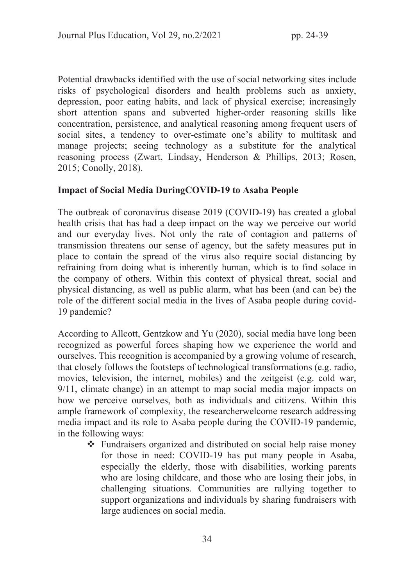Potential drawbacks identified with the use of social networking sites include risks of psychological disorders and health problems such as anxiety, depression, poor eating habits, and lack of physical exercise; increasingly short attention spans and subverted higher-order reasoning skills like concentration, persistence, and analytical reasoning among frequent users of social sites, a tendency to over-estimate one's ability to multitask and manage projects; seeing technology as a substitute for the analytical reasoning process (Zwart, Lindsay, Henderson & Phillips, 2013; Rosen, 2015; Conolly, 2018).

### Impact of Social Media DuringCOVID-19 to Asaba People

The outbreak of coronavirus disease 2019 (COVID-19) has created a global health crisis that has had a deep impact on the way we perceive our world and our everyday lives. Not only the rate of contagion and patterns of transmission threatens our sense of agency, but the safety measures put in place to contain the spread of the virus also require social distancing by refraining from doing what is inherently human, which is to find solace in the company of others. Within this context of physical threat, social and physical distancing, as well as public alarm, what has been (and can be) the role of the different social media in the lives of Asaba people during covid-19 pandemic?

According to Allcott, Gentzkow and Yu (2020), social media have long been recognized as powerful forces shaping how we experience the world and ourselves. This recognition is accompanied by a growing volume of research, that closely follows the footsteps of technological transformations (e.g. radio, movies, television, the internet, mobiles) and the zeitgeist (e.g. cold war, 9/11, climate change) in an attempt to map social media major impacts on how we perceive ourselves, both as individuals and citizens. Within this ample framework of complexity, the researcherwelcome research addressing media impact and its role to Asaba people during the COVID-19 pandemic, in the following ways:

 $\cdot \cdot$  Fundraisers organized and distributed on social help raise money for those in need: COVID-19 has put many people in Asaba, especially the elderly, those with disabilities, working parents who are losing childcare, and those who are losing their jobs, in challenging situations. Communities are rallying together to support organizations and individuals by sharing fundraisers with large audiences on social media.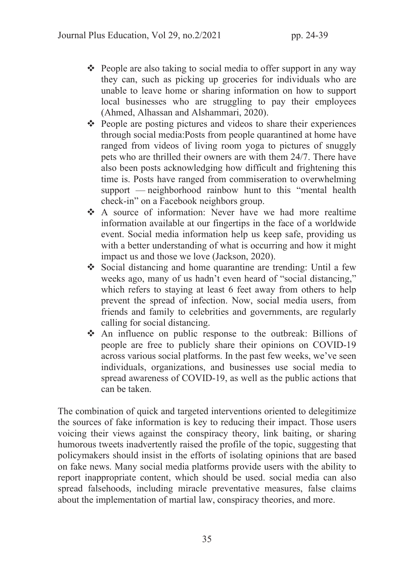- $\triangle$  People are also taking to social media to offer support in any way they can, such as picking up groceries for individuals who are unable to leave home or sharing information on how to support local businesses who are struggling to pay their employees (Ahmed, Alhassan and Alshammari, 2020).
- $\triangle$  People are posting pictures and videos to share their experiences through social media:Posts from people quarantined at home have ranged from videos of living room yoga to pictures of snuggly pets who are thrilled their owners are with them 24/7. There have also been posts acknowledging how difficult and frightening this time is. Posts have ranged from commiseration to overwhelming support — neighborhood rainbow hunt to this "mental health check-in" on a Facebook neighbors group.
- \* A source of information: Never have we had more realtime information available at our fingertips in the face of a worldwide event. Social media information help us keep safe, providing us with a better understanding of what is occurring and how it might impact us and those we love (Jackson, 2020).
- Social distancing and home quarantine are trending: Until a few weeks ago, many of us hadn't even heard of "social distancing," which refers to staying at least 6 feet away from others to help prevent the spread of infection. Now, social media users, from friends and family to celebrities and governments, are regularly calling for social distancing.
- $\triangle$  An influence on public response to the outbreak: Billions of people are free to publicly share their opinions on COVID-19 across various social platforms. In the past few weeks, we've seen individuals, organizations, and businesses use social media to spread awareness of COVID-19, as well as the public actions that can be taken.

The combination of quick and targeted interventions oriented to delegitimize the sources of fake information is key to reducing their impact. Those users voicing their views against the conspiracy theory, link baiting, or sharing humorous tweets inadvertently raised the profile of the topic, suggesting that policymakers should insist in the efforts of isolating opinions that are based on fake news. Many social media platforms provide users with the ability to report inappropriate content, which should be used. social media can also spread falsehoods, including miracle preventative measures, false claims about the implementation of martial law, conspiracy theories, and more.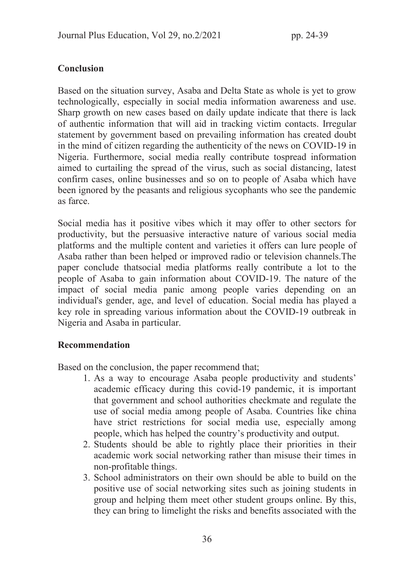# Conclusion

Based on the situation survey, Asaba and Delta State as whole is yet to grow technologically, especially in social media information awareness and use. Sharp growth on new cases based on daily update indicate that there is lack of authentic information that will aid in tracking victim contacts. Irregular statement by government based on prevailing information has created doubt in the mind of citizen regarding the authenticity of the news on COVID-19 in Nigeria. Furthermore, social media really contribute tospread information aimed to curtailing the spread of the virus, such as social distancing, latest confirm cases, online businesses and so on to people of Asaba which have been ignored by the peasants and religious sycophants who see the pandemic as farce.

Social media has it positive vibes which it may offer to other sectors for productivity, but the persuasive interactive nature of various social media platforms and the multiple content and varieties it offers can lure people of Asaba rather than been helped or improved radio or television channels.The paper conclude thatsocial media platforms really contribute a lot to the people of Asaba to gain information about COVID-19. The nature of the impact of social media panic among people varies depending on an individual's gender, age, and level of education. Social media has played a key role in spreading various information about the COVID-19 outbreak in Nigeria and Asaba in particular.

#### Recommendation

Based on the conclusion, the paper recommend that;

- 1. As a way to encourage Asaba people productivity and students' academic efficacy during this covid-19 pandemic, it is important that government and school authorities checkmate and regulate the use of social media among people of Asaba. Countries like china have strict restrictions for social media use, especially among people, which has helped the country's productivity and output.
- 2. Students should be able to rightly place their priorities in their academic work social networking rather than misuse their times in non-profitable things.
- 3. School administrators on their own should be able to build on the positive use of social networking sites such as joining students in group and helping them meet other student groups online. By this, they can bring to limelight the risks and benefits associated with the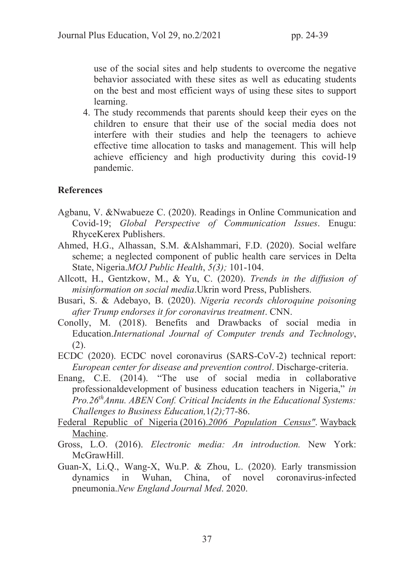use of the social sites and help students to overcome the negative behavior associated with these sites as well as educating students on the best and most efficient ways of using these sites to support learning.

4. The study recommends that parents should keep their eyes on the children to ensure that their use of the social media does not interfere with their studies and help the teenagers to achieve effective time allocation to tasks and management. This will help achieve efficiency and high productivity during this covid-19 pandemic.

### **References**

- Agbanu, V. &Nwabueze C. (2020). Readings in Online Communication and Covid-19; *Global Perspective of Communication Issues*. Enugu: RhyceKerex Publishers.
- Ahmed, H.G., Alhassan, S.M. &Alshammari, F.D. (2020). Social welfare scheme; a neglected component of public health care services in Delta State, Nigeria.*MOJ Public Health*, *5(3);* 101-104.
- Allcott, H., Gentzkow, M., & Yu, C. (2020). *Trends in the diffusion of misinformation on social media*.Ukrin word Press, Publishers.
- Busari, S. & Adebayo, B. (2020). *Nigeria records chloroquine poisoning after Trump endorses it for coronavirus treatment*. CNN.
- Conolly, M. (2018). Benefits and Drawbacks of social media in Education.*International Journal of Computer trends and Technology*,  $(2).$
- ECDC (2020). ECDC novel coronavirus (SARS-CoV-2) technical report: *European center for disease and prevention control*. Discharge-criteria.
- Enang, C.E. (2014). "The use of social media in collaborative professionaldevelopment of business education teachers in Nigeria," *in Pro.26thAnnu. ABEN Conf. Critical Incidents in the Educational Systems: Challenges to Business Education,*1*(2);*77-86.
- Federal Republic of Nigeria (2016).*2006 Population Census"*. Wayback Machine.
- Gross, L.O. (2016). *Electronic media: An introduction.* New York: McGrawHill.
- Guan-X, Li.Q., Wang-X, Wu.P. & Zhou, L. (2020). Early transmission dynamics in Wuhan, China, of novel coronavirus-infected pneumonia.*New England Journal Med*. 2020.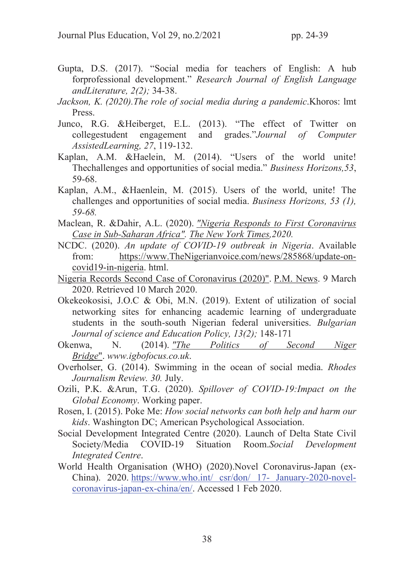- Gupta, D.S. (2017). "Social media for teachers of English: A hub forprofessional development." *Research Journal of English Language andLiterature, 2(2);* 34-38.
- *Jackson, K. (2020).The role of social media during a pandemic*.Khoros: lmt Press.
- Junco, R.G. &Heiberget, E.L. (2013). "The effect of Twitter on collegestudent engagement and grades."*Journal of Computer AssistedLearning, 27*, 119-132.
- Kaplan, A.M. &Haelein, M. (2014). "Users of the world unite! Thechallenges and opportunities of social media." *Business Horizons,53*, 59-68.
- Kaplan, A.M., &Haenlein, M. (2015). Users of the world, unite! The challenges and opportunities of social media. *Business Horizons, 53 (1), 59-68.*
- Maclean, R. &Dahir, A.L. (2020). *"Nigeria Responds to First Coronavirus Case in Sub-Saharan Africa". The New York Times,2020.*
- NCDC. (2020). *An update of COVID-19 outbreak in Nigeria*. Available from: https://www.TheNigerianvoice.com/news/285868/update-oncovid19-in-nigeria. html.
- Nigeria Records Second Case of Coronavirus (2020)". P.M. News. 9 March 2020. Retrieved 10 March 2020.
- Okekeokosisi, J.O.C & Obi, M.N. (2019). Extent of utilization of social networking sites for enhancing academic learning of undergraduate students in the south-south Nigerian federal universities. *Bulgarian Journal of science and Education Policy, 13(2);* 148-171
- Okenwa, N. (2014). *"The Politics of Second Niger Bridge*". *www.igbofocus.co.uk*.
- Overholser, G. (2014). Swimming in the ocean of social media. *Rhodes Journalism Review. 30.* July.
- Ozili, P.K. &Arun, T.G. (2020). *Spillover of COVID-19:Impact on the Global Economy*. Working paper.
- Rosen, I. (2015). Poke Me: *How social networks can both help and harm our kids*. Washington DC; American Psychological Association.
- Social Development Integrated Centre (2020). Launch of Delta State Civil Society/Media COVID-19 Situation Room.*Social Development Integrated Centre*.
- World Health Organisation (WHO) (2020).Novel Coronavirus-Japan (ex-China). 2020. https://www.who.int/ csr/don/ 17- January-2020-novelcoronavirus-japan-ex-china/en/. Accessed 1 Feb 2020.